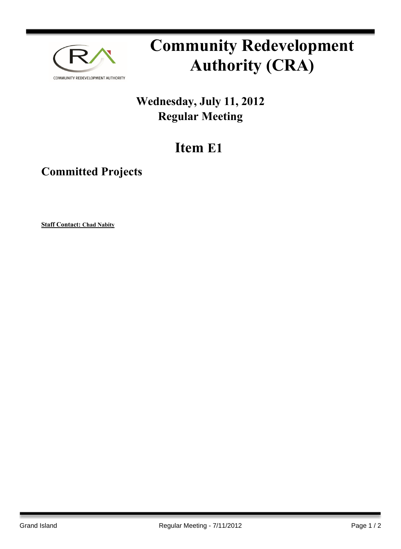

# **Community Redevelopment Authority (CRA)**

## **Wednesday, July 11, 2012 Regular Meeting**

## **Item E1**

### **Committed Projects**

**Staff Contact: Chad Nabity**